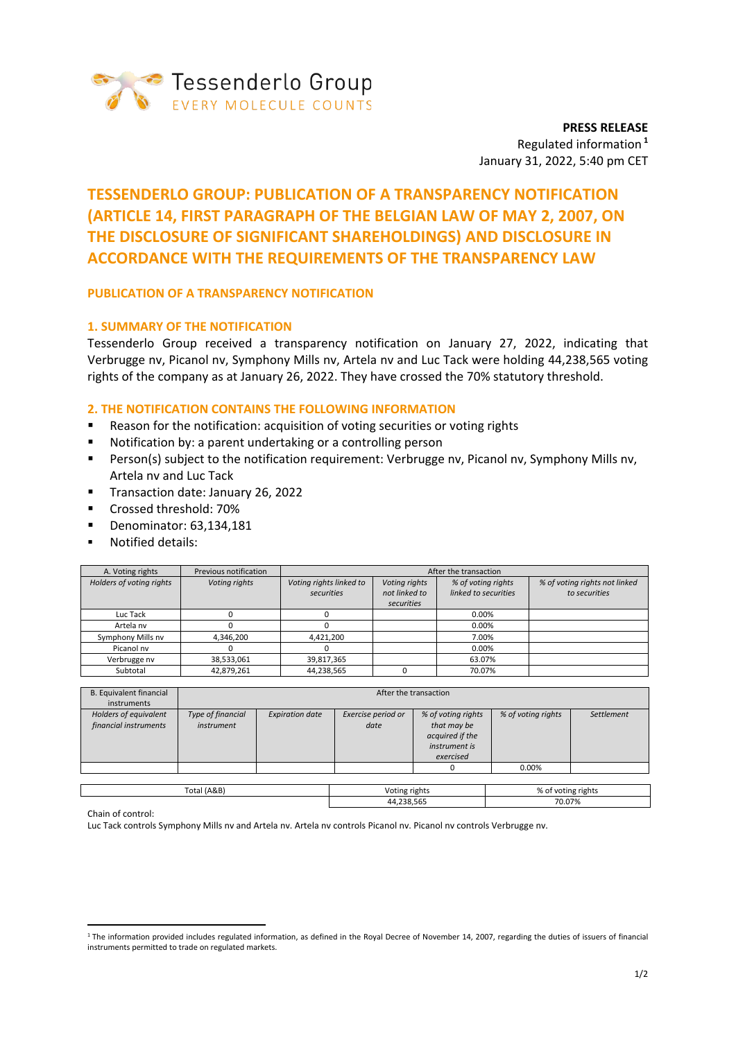

**PRESS RELEASE** Regulated information **<sup>1</sup>** January 31, 2022, 5:40 pm CET

# **TESSENDERLO GROUP: PUBLICATION OF A TRANSPARENCY NOTIFICATION (ARTICLE 14, FIRST PARAGRAPH OF THE BELGIAN LAW OF MAY 2, 2007, ON THE DISCLOSURE OF SIGNIFICANT SHAREHOLDINGS) AND DISCLOSURE IN ACCORDANCE WITH THE REQUIREMENTS OF THE TRANSPARENCY LAW**

# **PUBLICATION OF A TRANSPARENCY NOTIFICATION**

# **1. SUMMARY OF THE NOTIFICATION**

Tessenderlo Group received a transparency notification on January 27, 2022, indicating that Verbrugge nv, Picanol nv, Symphony Mills nv, Artela nv and Luc Tack were holding 44,238,565 voting rights of the company as at January 26, 2022. They have crossed the 70% statutory threshold.

# **2. THE NOTIFICATION CONTAINS THE FOLLOWING INFORMATION**

- Reason for the notification: acquisition of voting securities or voting rights
- Notification by: a parent undertaking or a controlling person
- **•** Person(s) subject to the notification requirement: Verbrugge nv, Picanol nv, Symphony Mills nv, Artela nv and Luc Tack
- Transaction date: January 26, 2022
- Crossed threshold: 70%
- Denominator: 63,134,181
- Notified details:

| A. Voting rights         | Previous notification | After the transaction   |               |                      |                               |  |
|--------------------------|-----------------------|-------------------------|---------------|----------------------|-------------------------------|--|
| Holders of voting rights | Voting rights         | Voting rights linked to | Voting rights | % of voting rights   | % of voting rights not linked |  |
|                          |                       | securities              | not linked to | linked to securities | to securities                 |  |
|                          |                       |                         | securities    |                      |                               |  |
| Luc Tack                 |                       |                         |               | 0.00%                |                               |  |
| Artela nv                |                       |                         |               | $0.00\%$             |                               |  |
| Symphony Mills nv        | 4,346,200             | 4.421.200               |               | 7.00%                |                               |  |
| Picanol nv               |                       |                         |               | 0.00%                |                               |  |
| Verbrugge nv             | 38,533,061            | 39,817,365              |               | 63.07%               |                               |  |
| Subtotal                 | 42.879.261            | 44,238,565              |               | 70.07%               |                               |  |

| B. Equivalent financial                        | After the transaction           |                        |                            |                                                                                           |                    |            |  |  |
|------------------------------------------------|---------------------------------|------------------------|----------------------------|-------------------------------------------------------------------------------------------|--------------------|------------|--|--|
| instruments                                    |                                 |                        |                            |                                                                                           |                    |            |  |  |
| Holders of equivalent<br>financial instruments | Type of financial<br>instrument | <b>Expiration date</b> | Exercise period or<br>date | % of voting rights<br>that may be<br>acquired if the<br><i>instrument is</i><br>exercised | % of voting rights | Settlement |  |  |
|                                                |                                 |                        |                            |                                                                                           | 0.00%              |            |  |  |
|                                                |                                 |                        |                            |                                                                                           |                    |            |  |  |
| Total (A&B)                                    |                                 | Voting rights          |                            | % of voting rights                                                                        |                    |            |  |  |

44,238,565 70.07%

Chain of control:

Luc Tack controls Symphony Mills nv and Artela nv. Artela nv controls Picanol nv. Picanol nv controls Verbrugge nv.

<sup>&</sup>lt;sup>1</sup> The information provided includes regulated information, as defined in the Royal Decree of November 14, 2007, regarding the duties of issuers of financial instruments permitted to trade on regulated markets.